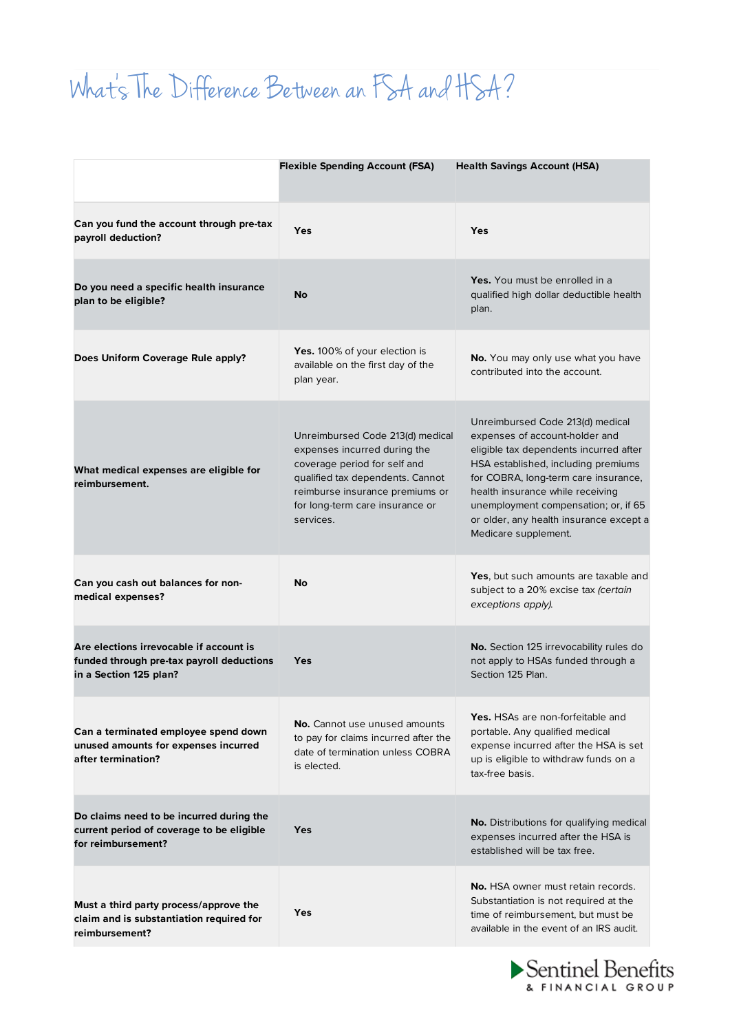## What 's The Difference Between an FSA and HSA?

|                                                                                                                | <b>Flexible Spending Account (FSA)</b>                                                                                                                                                                                  | <b>Health Savings Account (HSA)</b>                                                                                                                                                                                                                                                                                                        |
|----------------------------------------------------------------------------------------------------------------|-------------------------------------------------------------------------------------------------------------------------------------------------------------------------------------------------------------------------|--------------------------------------------------------------------------------------------------------------------------------------------------------------------------------------------------------------------------------------------------------------------------------------------------------------------------------------------|
| Can you fund the account through pre-tax<br>payroll deduction?                                                 | Yes                                                                                                                                                                                                                     | Yes                                                                                                                                                                                                                                                                                                                                        |
| Do you need a specific health insurance<br>plan to be eligible?                                                | No                                                                                                                                                                                                                      | Yes. You must be enrolled in a<br>qualified high dollar deductible health<br>plan.                                                                                                                                                                                                                                                         |
| Does Uniform Coverage Rule apply?                                                                              | <b>Yes.</b> 100% of your election is<br>available on the first day of the<br>plan year.                                                                                                                                 | No. You may only use what you have<br>contributed into the account.                                                                                                                                                                                                                                                                        |
| What medical expenses are eligible for<br>reimbursement.                                                       | Unreimbursed Code 213(d) medical<br>expenses incurred during the<br>coverage period for self and<br>qualified tax dependents. Cannot<br>reimburse insurance premiums or<br>for long-term care insurance or<br>services. | Unreimbursed Code 213(d) medical<br>expenses of account-holder and<br>eligible tax dependents incurred after<br>HSA established, including premiums<br>for COBRA, long-term care insurance,<br>health insurance while receiving<br>unemployment compensation; or, if 65<br>or older, any health insurance except a<br>Medicare supplement. |
| Can you cash out balances for non-<br>medical expenses?                                                        | <b>No</b>                                                                                                                                                                                                               | <b>Yes</b> , but such amounts are taxable and<br>subject to a 20% excise tax (certain<br>exceptions apply).                                                                                                                                                                                                                                |
| Are elections irrevocable if account is<br>funded through pre-tax payroll deductions<br>in a Section 125 plan? | <b>Yes</b>                                                                                                                                                                                                              | No. Section 125 irrevocability rules do<br>not apply to HSAs funded through a<br>Section 125 Plan.                                                                                                                                                                                                                                         |
| Can a terminated employee spend down<br>unused amounts for expenses incurred<br>after termination?             | No. Cannot use unused amounts<br>to pay for claims incurred after the<br>date of termination unless COBRA<br>is elected.                                                                                                | Yes. HSAs are non-forfeitable and<br>portable. Any qualified medical<br>expense incurred after the HSA is set<br>up is eligible to withdraw funds on a<br>tax-free basis.                                                                                                                                                                  |
| Do claims need to be incurred during the<br>current period of coverage to be eligible<br>for reimbursement?    | <b>Yes</b>                                                                                                                                                                                                              | No. Distributions for qualifying medical<br>expenses incurred after the HSA is<br>established will be tax free.                                                                                                                                                                                                                            |
| Must a third party process/approve the<br>claim and is substantiation required for<br>reimbursement?           | Yes                                                                                                                                                                                                                     | <b>No.</b> HSA owner must retain records.<br>Substantiation is not required at the<br>time of reimbursement, but must be<br>available in the event of an IRS audit.                                                                                                                                                                        |